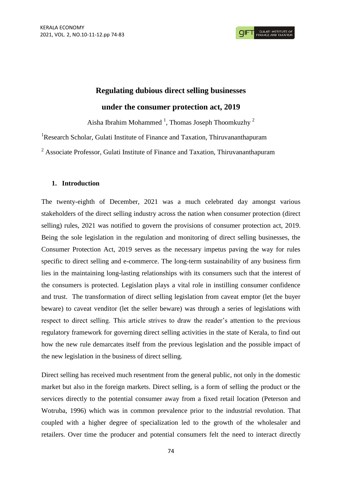# **Regulating dubious direct selling businesses under the consumer protection act, 2019**

Aisha Ibrahim Mohammed<sup>1</sup>, Thomas Joseph Thoomkuzhy<sup>2</sup>

<sup>1</sup>Research Scholar, Gulati Institute of Finance and Taxation, Thiruvananthapuram

<sup>2</sup> Associate Professor, Gulati Institute of Finance and Taxation, Thiruvananthapuram

## **1. Introduction**

The twenty-eighth of December, 2021 was a much celebrated day amongst various stakeholders of the direct selling industry across the nation when consumer protection (direct selling) rules, 2021 was notified to govern the provisions of consumer protection act, 2019. Being the sole legislation in the regulation and monitoring of direct selling businesses, the Consumer Protection Act, 2019 serves as the necessary impetus paving the way for rules specific to direct selling and e-commerce. The long-term sustainability of any business firm lies in the maintaining long-lasting relationships with its consumers such that the interest of the consumers is protected. Legislation plays a vital role in instilling consumer confidence and trust. The transformation of direct selling legislation from caveat emptor (let the buyer beware) to caveat venditor (let the seller beware) was through a series of legislations with respect to direct selling. This article strives to draw the reader's attention to the previous regulatory framework for governing direct selling activities in the state of Kerala, to find out how the new rule demarcates itself from the previous legislation and the possible impact of the new legislation in the business of direct selling.

Direct selling has received much resentment from the general public, not only in the domestic market but also in the foreign markets. Direct selling, is a form of selling the product or the services directly to the potential consumer away from a fixed retail location (Peterson and Wotruba, 1996) which was in common prevalence prior to the industrial revolution. That coupled with a higher degree of specialization led to the growth of the wholesaler and retailers. Over time the producer and potential consumers felt the need to interact directly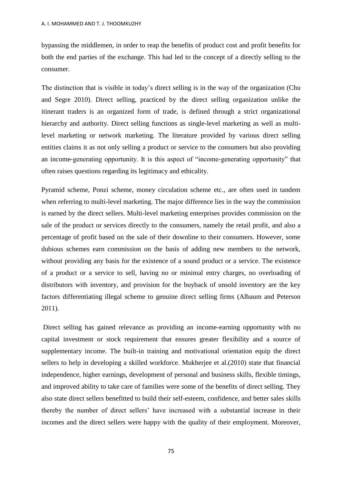bypassing the middlemen, in order to reap the benefits of product cost and profit benefits for both the end parties of the exchange. This had led to the concept of a directly selling to the consumer.

The distinction that is visible in today's direct selling is in the way of the organization (Chu and Segre 2010). Direct selling, practiced by the direct selling organization unlike the itinerant traders is an organized form of trade, is defined through a strict organizational hierarchy and authority. Direct selling functions as single-level marketing as well as multilevel marketing or network marketing. The literature provided by various direct selling entities claims it as not only selling a product or service to the consumers but also providing an income-generating opportunity. It is this aspect of "income-generating opportunity" that often raises questions regarding its legitimacy and ethicality.

Pyramid scheme, Ponzi scheme, money circulation scheme etc., are often used in tandem when referring to multi-level marketing. The major difference lies in the way the commission is earned by the direct sellers. Multi-level marketing enterprises provides commission on the sale of the product or services directly to the consumers, namely the retail profit, and also a percentage of profit based on the sale of their downline to their consumers. However, some dubious schemes earn commission on the basis of adding new members to the network, without providing any basis for the existence of a sound product or a service. The existence of a product or a service to sell, having no or minimal entry charges, no overloading of distributors with inventory, and provision for the buyback of unsold inventory are the key factors differentiating illegal scheme to genuine direct selling firms (Albaum and Peterson 2011).

Direct selling has gained relevance as providing an income-earning opportunity with no capital investment or stock requirement that ensures greater flexibility and a source of supplementary income. The built-in training and motivational orientation equip the direct sellers to help in developing a skilled workforce. Mukherjee et al.(2010) state that financial independence, higher earnings, development of personal and business skills, flexible timings, and improved ability to take care of families were some of the benefits of direct selling. They also state direct sellers benefitted to build their self-esteem, confidence, and better sales skills thereby the number of direct sellers' have increased with a substantial increase in their incomes and the direct sellers were happy with the quality of their employment. Moreover,

75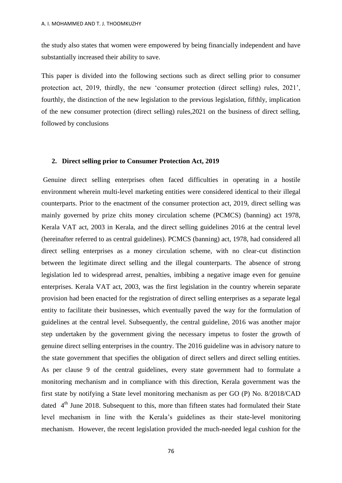the study also states that women were empowered by being financially independent and have substantially increased their ability to save.

This paper is divided into the following sections such as direct selling prior to consumer protection act, 2019, thirdly, the new ‗consumer protection (direct selling) rules, 2021', fourthly, the distinction of the new legislation to the previous legislation, fifthly, implication of the new consumer protection (direct selling) rules,2021 on the business of direct selling, followed by conclusions

## **2. Direct selling prior to Consumer Protection Act, 2019**

Genuine direct selling enterprises often faced difficulties in operating in a hostile environment wherein multi-level marketing entities were considered identical to their illegal counterparts. Prior to the enactment of the consumer protection act, 2019, direct selling was mainly governed by prize chits money circulation scheme (PCMCS) (banning) act 1978, Kerala VAT act, 2003 in Kerala, and the direct selling guidelines 2016 at the central level (hereinafter referred to as central guidelines). PCMCS (banning) act, 1978, had considered all direct selling enterprises as a money circulation scheme, with no clear-cut distinction between the legitimate direct selling and the illegal counterparts. The absence of strong legislation led to widespread arrest, penalties, imbibing a negative image even for genuine enterprises. Kerala VAT act, 2003, was the first legislation in the country wherein separate provision had been enacted for the registration of direct selling enterprises as a separate legal entity to facilitate their businesses, which eventually paved the way for the formulation of guidelines at the central level. Subsequently, the central guideline, 2016 was another major step undertaken by the government giving the necessary impetus to foster the growth of genuine direct selling enterprises in the country. The 2016 guideline was in advisory nature to the state government that specifies the obligation of direct sellers and direct selling entities. As per clause 9 of the central guidelines, every state government had to formulate a monitoring mechanism and in compliance with this direction, Kerala government was the first state by notifying a State level monitoring mechanism as per GO (P) No. 8/2018/CAD dated  $4<sup>th</sup>$  June 2018. Subsequent to this, more than fifteen states had formulated their State level mechanism in line with the Kerala's guidelines as their state-level monitoring mechanism. However, the recent legislation provided the much-needed legal cushion for the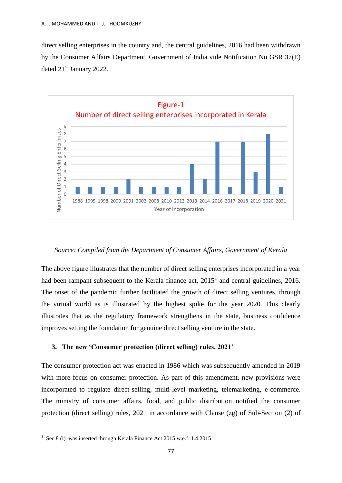direct selling enterprises in the country and, the central guidelines, 2016 had been withdrawn by the Consumer Affairs Department, Government of India vide Notification No GSR 37(E) dated 21<sup>st</sup> January 2022.



#### *Source: Compiled from the Department of Consumer Affairs, Government of Kerala*

The above figure illustrates that the number of direct selling enterprises incorporated in a year had been rampant subsequent to the Kerala finance act,  $2015<sup>1</sup>$  and central guidelines, 2016. The onset of the pandemic further facilitated the growth of direct selling ventures, through the virtual world as is illustrated by the highest spike for the year 2020. This clearly illustrates that as the regulatory framework strengthens in the state, business confidence improves setting the foundation for genuine direct selling venture in the state.

#### **3. The new 'Consumer protection (direct selling) rules, 2021'**

The consumer protection act was enacted in 1986 which was subsequently amended in 2019 with more focus on consumer protection. As part of this amendment, new provisions were incorporated to regulate direct-selling, multi-level marketing, telemarketing, e-commerce. The ministry of consumer affairs, food, and public distribution notified the consumer protection (direct selling) rules, 2021 in accordance with Clause (zg) of Sub-Section (2) of

 1 Sec 8 (i) was inserted through Kerala Finance Act 2015 w.e.f. 1.4.2015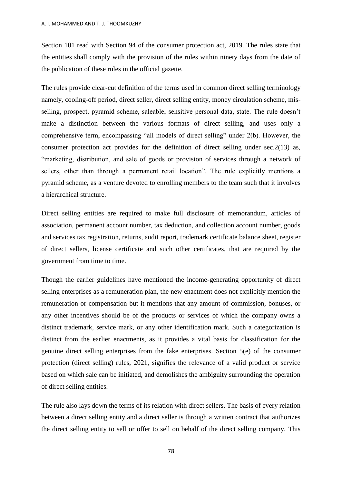Section 101 read with Section 94 of the consumer protection act, 2019. The rules state that the entities shall comply with the provision of the rules within ninety days from the date of the publication of these rules in the official gazette.

The rules provide clear-cut definition of the terms used in common direct selling terminology namely, cooling-off period, direct seller, direct selling entity, money circulation scheme, misselling, prospect, pyramid scheme, saleable, sensitive personal data, state. The rule doesn't make a distinction between the various formats of direct selling, and uses only a comprehensive term, encompassing "all models of direct selling" under 2(b). However, the consumer protection act provides for the definition of direct selling under sec.2(13) as, ―marketing, distribution, and sale of goods or provision of services through a network of sellers, other than through a permanent retail location". The rule explicitly mentions a pyramid scheme, as a venture devoted to enrolling members to the team such that it involves a hierarchical structure.

Direct selling entities are required to make full disclosure of memorandum, articles of association, permanent account number, tax deduction, and collection account number, goods and services tax registration, returns, audit report, trademark certificate balance sheet, register of direct sellers, license certificate and such other certificates, that are required by the government from time to time.

Though the earlier guidelines have mentioned the income-generating opportunity of direct selling enterprises as a remuneration plan, the new enactment does not explicitly mention the remuneration or compensation but it mentions that any amount of commission, bonuses, or any other incentives should be of the products or services of which the company owns a distinct trademark, service mark, or any other identification mark. Such a categorization is distinct from the earlier enactments, as it provides a vital basis for classification for the genuine direct selling enterprises from the fake enterprises. Section 5(e) of the consumer protection (direct selling) rules, 2021, signifies the relevance of a valid product or service based on which sale can be initiated, and demolishes the ambiguity surrounding the operation of direct selling entities.

The rule also lays down the terms of its relation with direct sellers. The basis of every relation between a direct selling entity and a direct seller is through a written contract that authorizes the direct selling entity to sell or offer to sell on behalf of the direct selling company. This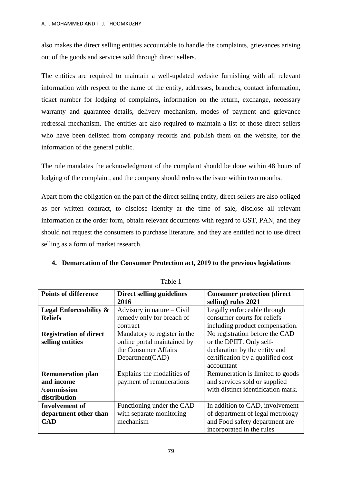also makes the direct selling entities accountable to handle the complaints, grievances arising out of the goods and services sold through direct sellers.

The entities are required to maintain a well-updated website furnishing with all relevant information with respect to the name of the entity, addresses, branches, contact information, ticket number for lodging of complaints, information on the return, exchange, necessary warranty and guarantee details, delivery mechanism, modes of payment and grievance redressal mechanism. The entities are also required to maintain a list of those direct sellers who have been delisted from company records and publish them on the website, for the information of the general public.

The rule mandates the acknowledgment of the complaint should be done within 48 hours of lodging of the complaint, and the company should redress the issue within two months.

Apart from the obligation on the part of the direct selling entity, direct sellers are also obliged as per written contract, to disclose identity at the time of sale, disclose all relevant information at the order form, obtain relevant documents with regard to GST, PAN, and they should not request the consumers to purchase literature, and they are entitled not to use direct selling as a form of market research.

# **4. Demarcation of the Consumer Protection act, 2019 to the previous legislations**

| <b>Points of difference</b>   | Direct selling guidelines    | <b>Consumer protection (direct</b> |
|-------------------------------|------------------------------|------------------------------------|
|                               | 2016                         | selling) rules 2021                |
| Legal Enforceability &        | Advisory in nature $-$ Civil | Legally enforceable through        |
| <b>Reliefs</b>                | remedy only for breach of    | consumer courts for reliefs        |
|                               | contract                     | including product compensation.    |
| <b>Registration of direct</b> | Mandatory to register in the | No registration before the CAD     |
| selling entities              | online portal maintained by  | or the DPIIT. Only self-           |
|                               | the Consumer Affairs         | declaration by the entity and      |
|                               | Department (CAD)             | certification by a qualified cost  |
|                               |                              | accountant                         |
| <b>Remuneration plan</b>      | Explains the modalities of   | Remuneration is limited to goods   |
| and income                    | payment of remunerations     | and services sold or supplied      |
| /commission                   |                              | with distinct identification mark. |
| distribution                  |                              |                                    |
| <b>Involvement</b> of         | Functioning under the CAD    | In addition to CAD, involvement    |
| department other than         | with separate monitoring     | of department of legal metrology   |
| <b>CAD</b>                    | mechanism                    | and Food safety department are     |
|                               |                              | incorporated in the rules          |

Table 1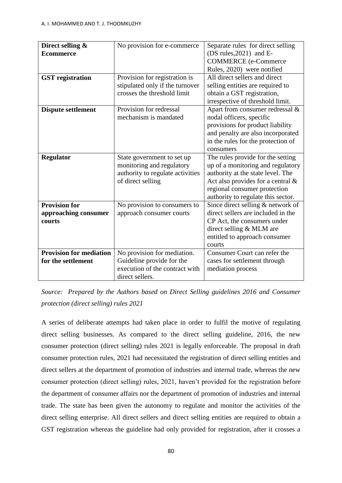| Direct selling &<br><b>Ecommerce</b>                   | No provision for e-commerce                                                                                      | Separate rules for direct selling<br>(DS rules, $2021$ ) and E-<br><b>COMMERCE</b> (e-Commerce                                                                                                                            |
|--------------------------------------------------------|------------------------------------------------------------------------------------------------------------------|---------------------------------------------------------------------------------------------------------------------------------------------------------------------------------------------------------------------------|
| <b>GST</b> registration                                | Provision for registration is<br>stipulated only if the turnover<br>crosses the threshold limit                  | Rules, 2020) were notified<br>All direct sellers and direct<br>selling entities are required to<br>obtain a GST registration,<br>irrespective of threshold limit.                                                         |
| <b>Dispute settlement</b>                              | Provision for redressal<br>mechanism is mandated                                                                 | Apart from consumer redressal &<br>nodal officers, specific<br>provisions for product liability<br>and penalty are also incorporated<br>in the rules for the protection of<br>consumers                                   |
| <b>Regulator</b>                                       | State government to set up<br>monitoring and regulatory<br>authority to regulate activities<br>of direct selling | The rules provide for the setting<br>up of a monitoring and regulatory<br>authority at the state level. The<br>Act also provides for a central $\&$<br>regional consumer protection<br>authority to regulate this sector. |
| <b>Provision for</b><br>approaching consumer<br>courts | No provision to consumers to<br>approach consumer courts                                                         | Since direct selling & network of<br>direct sellers are included in the<br>CP Act, the consumers under<br>direct selling & MLM are<br>entitled to approach consumer<br>courts                                             |
| <b>Provision for mediation</b><br>for the settlement   | No provision for mediation.<br>Guideline provide for the<br>execution of the contract with<br>direct sellers.    | Consumer Court can refer the<br>cases for settlement through<br>mediation process                                                                                                                                         |

*Source: Prepared by the Authors based on Direct Selling guidelines 2016 and Consumer protection (direct selling) rules 2021*

A series of deliberate attempts had taken place in order to fulfil the motive of regulating direct selling businesses. As compared to the direct selling guideline, 2016, the new consumer protection (direct selling) rules 2021 is legally enforceable. The proposal in draft consumer protection rules, 2021 had necessitated the registration of direct selling entities and direct sellers at the department of promotion of industries and internal trade, whereas the new consumer protection (direct selling) rules, 2021, haven't provided for the registration before the department of consumer affairs nor the department of promotion of industries and internal trade. The state has been given the autonomy to regulate and monitor the activities of the direct selling enterprise. All direct sellers and direct selling entities are required to obtain a GST registration whereas the guideline had only provided for registration, after it crosses a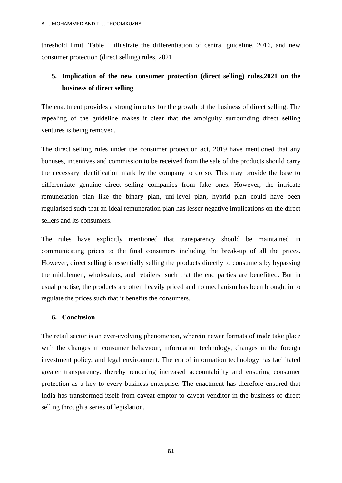threshold limit. Table 1 illustrate the differentiation of central guideline, 2016, and new consumer protection (direct selling) rules, 2021.

# **5. Implication of the new consumer protection (direct selling) rules,2021 on the business of direct selling**

The enactment provides a strong impetus for the growth of the business of direct selling. The repealing of the guideline makes it clear that the ambiguity surrounding direct selling ventures is being removed.

The direct selling rules under the consumer protection act, 2019 have mentioned that any bonuses, incentives and commission to be received from the sale of the products should carry the necessary identification mark by the company to do so. This may provide the base to differentiate genuine direct selling companies from fake ones. However, the intricate remuneration plan like the binary plan, uni-level plan, hybrid plan could have been regularised such that an ideal remuneration plan has lesser negative implications on the direct sellers and its consumers.

The rules have explicitly mentioned that transparency should be maintained in communicating prices to the final consumers including the break-up of all the prices. However, direct selling is essentially selling the products directly to consumers by bypassing the middlemen, wholesalers, and retailers, such that the end parties are benefitted. But in usual practise, the products are often heavily priced and no mechanism has been brought in to regulate the prices such that it benefits the consumers.

# **6. Conclusion**

The retail sector is an ever-evolving phenomenon, wherein newer formats of trade take place with the changes in consumer behaviour, information technology, changes in the foreign investment policy, and legal environment. The era of information technology has facilitated greater transparency, thereby rendering increased accountability and ensuring consumer protection as a key to every business enterprise. The enactment has therefore ensured that India has transformed itself from caveat emptor to caveat venditor in the business of direct selling through a series of legislation.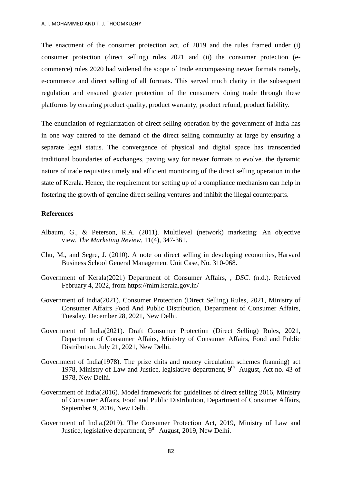The enactment of the consumer protection act, of 2019 and the rules framed under (i) consumer protection (direct selling) rules 2021 and (ii) the consumer protection (ecommerce) rules 2020 had widened the scope of trade encompassing newer formats namely, e-commerce and direct selling of all formats. This served much clarity in the subsequent regulation and ensured greater protection of the consumers doing trade through these platforms by ensuring product quality, product warranty, product refund, product liability.

The enunciation of regularization of direct selling operation by the government of India has in one way catered to the demand of the direct selling community at large by ensuring a separate legal status. The convergence of physical and digital space has transcended traditional boundaries of exchanges, paving way for newer formats to evolve. the dynamic nature of trade requisites timely and efficient monitoring of the direct selling operation in the state of Kerala. Hence, the requirement for setting up of a compliance mechanism can help in fostering the growth of genuine direct selling ventures and inhibit the illegal counterparts.

#### **References**

- Albaum, G., & Peterson, R.A. (2011). Multilevel (network) marketing: An objective view*. The Marketing Review*, 11(4), 347-361.
- Chu, M., and Segre, J. (2010). A note on direct selling in developing economies, Harvard Business School General Management Unit Case, No. 310-068.
- Government of Kerala(2021) Department of Consumer Affairs, , *DSC*. (n.d.). Retrieved February 4, 2022, from https://mlm.kerala.gov.in/
- Government of India(2021). Consumer Protection (Direct Selling) Rules, 2021, Ministry of Consumer Affairs Food And Public Distribution, Department of Consumer Affairs, Tuesday, December 28, 2021, New Delhi.
- Government of India(2021). Draft Consumer Protection (Direct Selling) Rules, 2021, Department of Consumer Affairs, Ministry of Consumer Affairs, Food and Public Distribution, July 21, 2021, New Delhi.
- Government of India(1978). The prize chits and money circulation schemes (banning) act 1978, Ministry of Law and Justice, legislative department, 9<sup>th</sup> August, Act no. 43 of 1978, New Delhi.
- Government of India(2016). Model framework for guidelines of direct selling 2016, Ministry of Consumer Affairs, Food and Public Distribution, Department of Consumer Affairs, September 9, 2016, New Delhi.
- Government of India,(2019). The Consumer Protection Act, 2019, Ministry of Law and Justice, legislative department, 9<sup>th</sup> August, 2019, New Delhi.